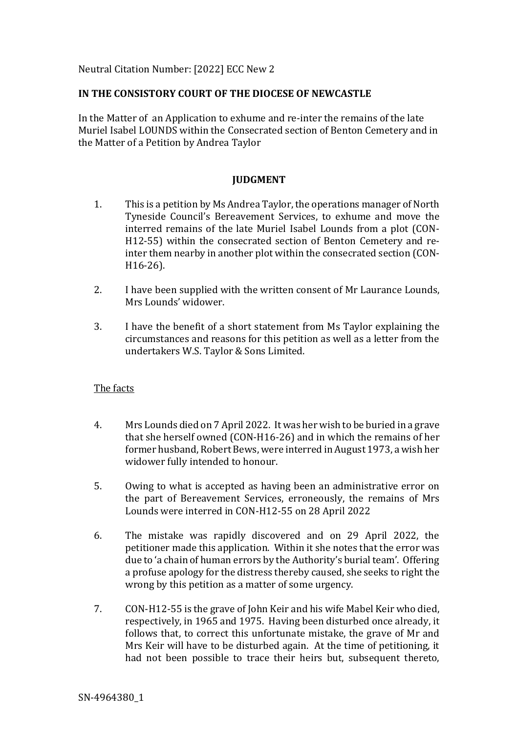Neutral Citation Number: [2022] ECC New 2

## **IN THE CONSISTORY COURT OF THE DIOCESE OF NEWCASTLE**

In the Matter of an Application to exhume and re-inter the remains of the late Muriel Isabel LOUNDS within the Consecrated section of Benton Cemetery and in the Matter of a Petition by Andrea Taylor

# **JUDGMENT**

- 1. This is a petition by Ms Andrea Taylor, the operations manager of North Tyneside Council's Bereavement Services, to exhume and move the interred remains of the late Muriel Isabel Lounds from a plot (CON-H12-55) within the consecrated section of Benton Cemetery and reinter them nearby in another plot within the consecrated section (CON-H16-26).
- 2. I have been supplied with the written consent of Mr Laurance Lounds, Mrs Lounds' widower.
- 3. I have the benefit of a short statement from Ms Taylor explaining the circumstances and reasons for this petition as well as a letter from the undertakers W.S. Taylor & Sons Limited.

### The facts

- 4. Mrs Lounds died on 7 April 2022. It was her wish to be buried in a grave that she herself owned (CON-H16-26) and in which the remains of her former husband, Robert Bews, were interred in August 1973, a wish her widower fully intended to honour.
- 5. Owing to what is accepted as having been an administrative error on the part of Bereavement Services, erroneously, the remains of Mrs Lounds were interred in CON-H12-55 on 28 April 2022
- 6. The mistake was rapidly discovered and on 29 April 2022, the petitioner made this application. Within it she notes that the error was due to 'a chain of human errors by the Authority's burial team'. Offering a profuse apology for the distress thereby caused, she seeks to right the wrong by this petition as a matter of some urgency.
- 7. CON-H12-55 is the grave of John Keir and his wife Mabel Keir who died, respectively, in 1965 and 1975. Having been disturbed once already, it follows that, to correct this unfortunate mistake, the grave of Mr and Mrs Keir will have to be disturbed again. At the time of petitioning, it had not been possible to trace their heirs but, subsequent thereto,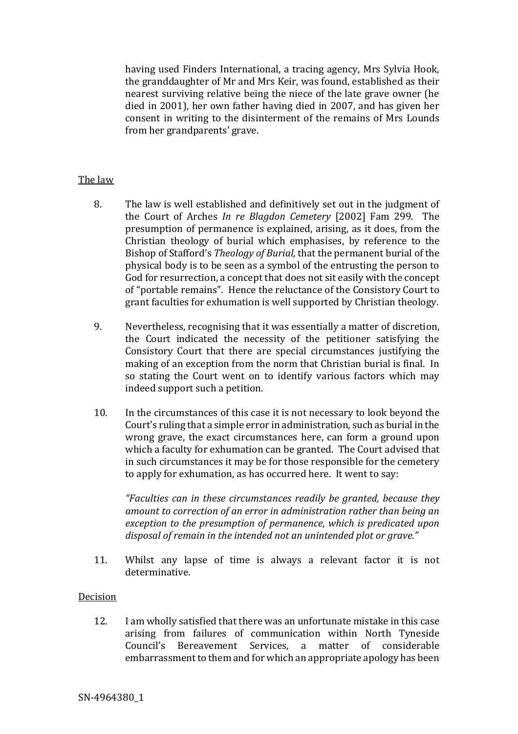having used Finders International, a tracing agency, Mrs Sylvia Hook, the granddaughter of Mr and Mrs Keir, was found, established as their nearest surviving relative being the niece of the late grave owner (he died in 2001), her own father having died in 2007, and has given her consent in writing to the disinterment of the remains of Mrs Lounds from her grandparents' grave.

# The law

- 8. The law is well established and definitively set out in the judgment of the Court of Arches *In re Blagdon Cemetery* [2002] Fam 299. The presumption of permanence is explained, arising, as it does, from the Christian theology of burial which emphasises, by reference to the Bishop of Stafford's *Theology of Burial,* that the permanent burial of the physical body is to be seen as a symbol of the entrusting the person to God for resurrection, a concept that does not sit easily with the concept of "portable remains". Hence the reluctance of the Consistory Court to grant faculties for exhumation is well supported by Christian theology.
- 9. Nevertheless, recognising that it was essentially a matter of discretion, the Court indicated the necessity of the petitioner satisfying the Consistory Court that there are special circumstances justifying the making of an exception from the norm that Christian burial is final. In so stating the Court went on to identify various factors which may indeed support such a petition.
- 10. In the circumstances of this case it is not necessary to look beyond the Court's ruling that a simple error in administration, such as burial in the wrong grave, the exact circumstances here, can form a ground upon which a faculty for exhumation can be granted. The Court advised that in such circumstances it may be for those responsible for the cemetery to apply for exhumation, as has occurred here. It went to say:

*"Faculties can in these circumstances readily be granted, because they amount to correction of an error in administration rather than being an exception to the presumption of permanence, which is predicated upon disposal of remain in the intended not an unintended plot or grave."*

11. Whilst any lapse of time is always a relevant factor it is not determinative.

# Decision

12. I am wholly satisfied that there was an unfortunate mistake in this case arising from failures of communication within North Tyneside Council's Bereavement Services, a matter of considerable embarrassment to them and for which an appropriate apology has been